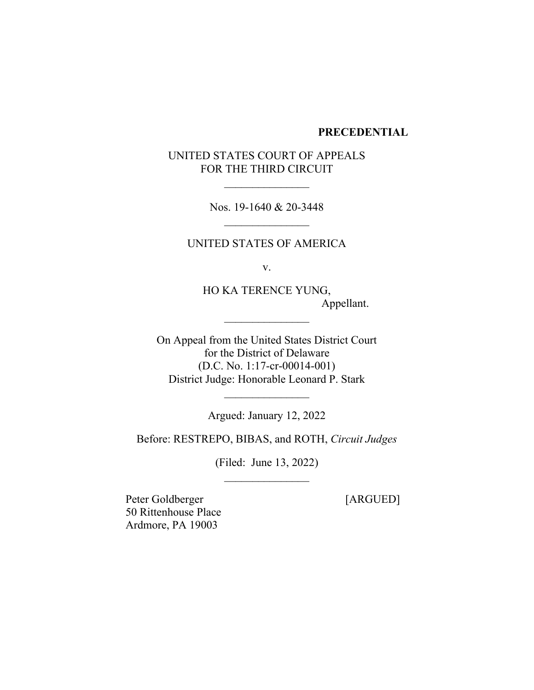### **PRECEDENTIAL**

# UNITED STATES COURT OF APPEALS FOR THE THIRD CIRCUIT

Nos. 19-1640 & 20-3448

UNITED STATES OF AMERICA

v.

HO KA TERENCE YUNG, Appellant.

On Appeal from the United States District Court for the District of Delaware (D.C. No. 1:17-cr-00014-001) District Judge: Honorable Leonard P. Stark

 $\frac{1}{2}$ 

Argued: January 12, 2022

Before: RESTREPO, BIBAS, and ROTH, *Circuit Judges*

(Filed: June 13, 2022)

Peter Goldberger [ARGUED] 50 Rittenhouse Place Ardmore, PA 19003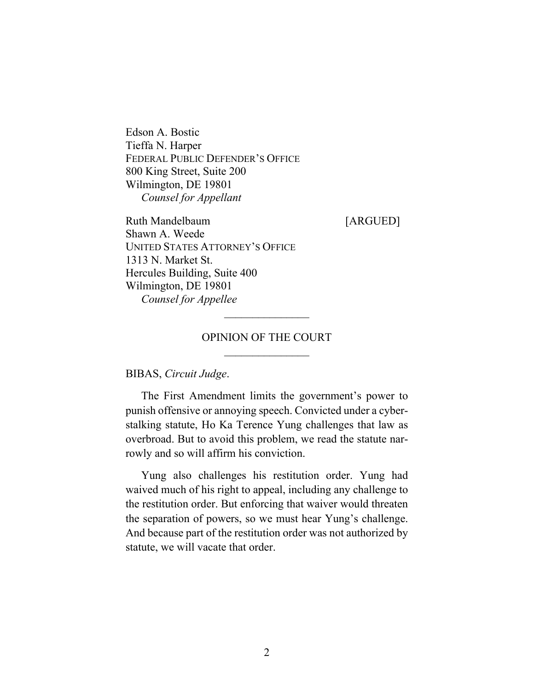Edson A. Bostic Tieffa N. Harper FEDERAL PUBLIC DEFENDER'S OFFICE 800 King Street, Suite 200 Wilmington, DE 19801 *Counsel for Appellant*

Ruth Mandelbaum [ARGUED] Shawn A. Weede UNITED STATES ATTORNEY'S OFFICE 1313 N. Market St. Hercules Building, Suite 400 Wilmington, DE 19801 *Counsel for Appellee*

## OPINION OF THE COURT

 $\mathcal{L}_\text{max}$ 

BIBAS, *Circuit Judge*.

The First Amendment limits the government's power to punish offensive or annoying speech. Convicted under a cyberstalking statute, Ho Ka Terence Yung challenges that law as overbroad. But to avoid this problem, we read the statute narrowly and so will affirm his conviction.

Yung also challenges his restitution order. Yung had waived much of his right to appeal, including any challenge to the restitution order. But enforcing that waiver would threaten the separation of powers, so we must hear Yung's challenge. And because part of the restitution order was not authorized by statute, we will vacate that order.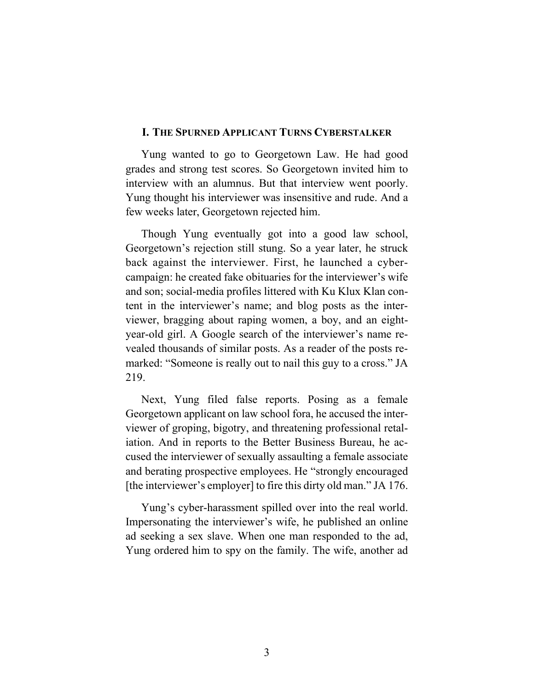### **I. THE SPURNED APPLICANT TURNS CYBERSTALKER**

Yung wanted to go to Georgetown Law. He had good grades and strong test scores. So Georgetown invited him to interview with an alumnus. But that interview went poorly. Yung thought his interviewer was insensitive and rude. And a few weeks later, Georgetown rejected him.

Though Yung eventually got into a good law school, Georgetown's rejection still stung. So a year later, he struck back against the interviewer. First, he launched a cybercampaign: he created fake obituaries for the interviewer's wife and son; social-media profiles littered with Ku Klux Klan content in the interviewer's name; and blog posts as the interviewer, bragging about raping women, a boy, and an eightyear-old girl. A Google search of the interviewer's name revealed thousands of similar posts. As a reader of the posts remarked: "Someone is really out to nail this guy to a cross." JA 219.

Next, Yung filed false reports. Posing as a female Georgetown applicant on law school fora, he accused the interviewer of groping, bigotry, and threatening professional retaliation. And in reports to the Better Business Bureau, he accused the interviewer of sexually assaulting a female associate and berating prospective employees. He "strongly encouraged [the interviewer's employer] to fire this dirty old man." JA 176.

Yung's cyber-harassment spilled over into the real world. Impersonating the interviewer's wife, he published an online ad seeking a sex slave. When one man responded to the ad, Yung ordered him to spy on the family. The wife, another ad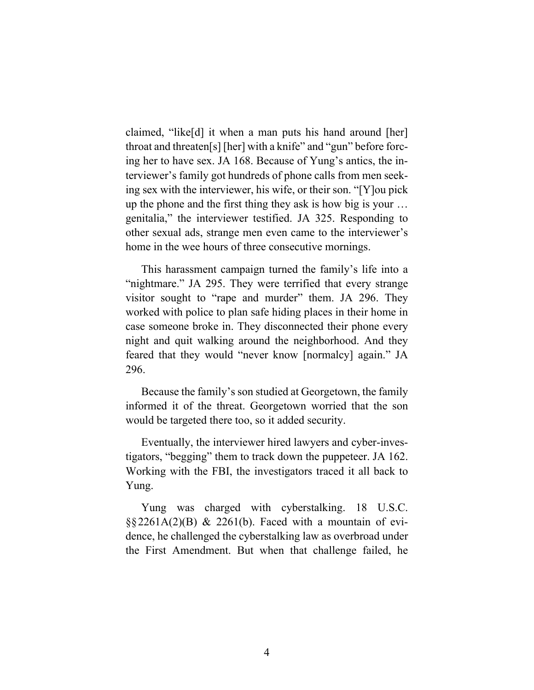claimed, "like[d] it when a man puts his hand around [her] throat and threaten[s] [her] with a knife" and "gun" before forcing her to have sex. JA 168. Because of Yung's antics, the interviewer's family got hundreds of phone calls from men seeking sex with the interviewer, his wife, or their son. "[Y]ou pick up the phone and the first thing they ask is how big is your … genitalia," the interviewer testified. JA 325. Responding to other sexual ads, strange men even came to the interviewer's home in the wee hours of three consecutive mornings.

This harassment campaign turned the family's life into a "nightmare." JA 295. They were terrified that every strange visitor sought to "rape and murder" them. JA 296. They worked with police to plan safe hiding places in their home in case someone broke in. They disconnected their phone every night and quit walking around the neighborhood. And they feared that they would "never know [normalcy] again." JA 296.

Because the family's son studied at Georgetown, the family informed it of the threat. Georgetown worried that the son would be targeted there too, so it added security.

Eventually, the interviewer hired lawyers and cyber-investigators, "begging" them to track down the puppeteer. JA 162. Working with the FBI, the investigators traced it all back to Yung.

Yung was charged with cyberstalking. 18 U.S.C.  $\S$ §2261A(2)(B) & 2261(b). Faced with a mountain of evidence, he challenged the cyberstalking law as overbroad under the First Amendment. But when that challenge failed, he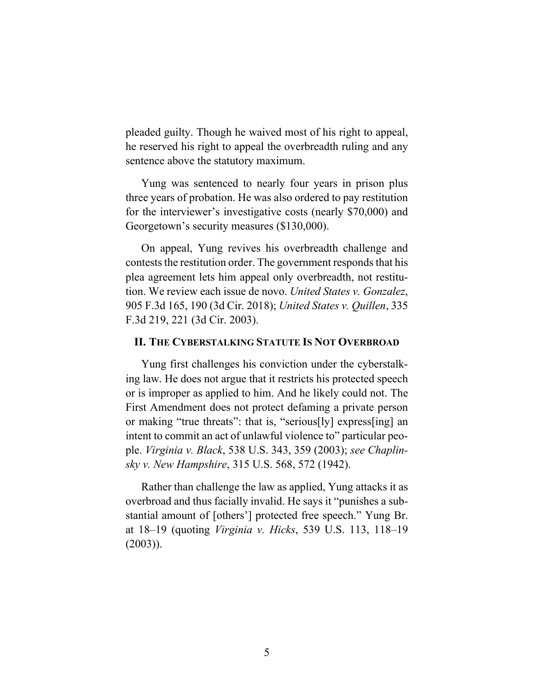pleaded guilty. Though he waived most of his right to appeal, he reserved his right to appeal the overbreadth ruling and any sentence above the statutory maximum.

Yung was sentenced to nearly four years in prison plus three years of probation. He was also ordered to pay restitution for the interviewer's investigative costs (nearly \$70,000) and Georgetown's security measures (\$130,000).

On appeal, Yung revives his overbreadth challenge and contests the restitution order. The government responds that his plea agreement lets him appeal only overbreadth, not restitution. We review each issue de novo. *United States v. Gonzalez*, 905 F.3d 165, 190 (3d Cir. 2018); *United States v. Quillen*, 335 F.3d 219, 221 (3d Cir. 2003).

### **II. THE CYBERSTALKING STATUTE IS NOT OVERBROAD**

Yung first challenges his conviction under the cyberstalking law. He does not argue that it restricts his protected speech or is improper as applied to him. And he likely could not. The First Amendment does not protect defaming a private person or making "true threats": that is, "serious[ly] express[ing] an intent to commit an act of unlawful violence to" particular people. *Virginia v. Black*, 538 U.S. 343, 359 (2003); *see Chaplinsky v. New Hampshire*, 315 U.S. 568, 572 (1942).

Rather than challenge the law as applied, Yung attacks it as overbroad and thus facially invalid. He says it "punishes a substantial amount of [others'] protected free speech." Yung Br. at 18–19 (quoting *Virginia v. Hicks*, 539 U.S. 113, 118–19 (2003)).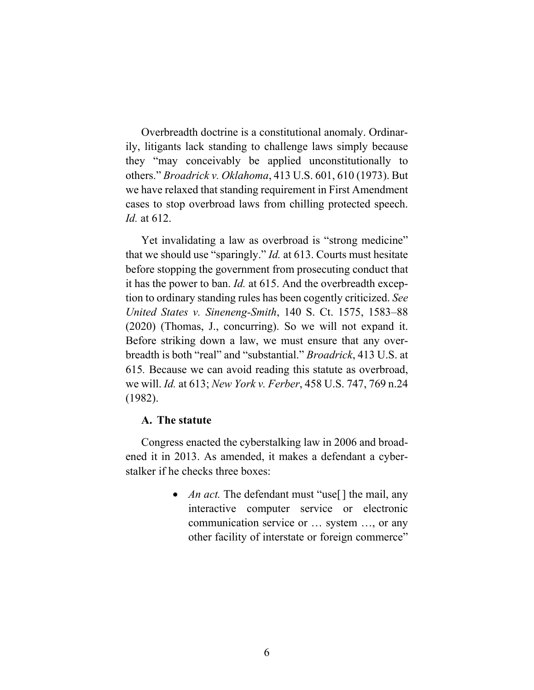Overbreadth doctrine is a constitutional anomaly. Ordinarily, litigants lack standing to challenge laws simply because they "may conceivably be applied unconstitutionally to others." *Broadrick v. Oklahoma*, 413 U.S. 601, 610 (1973). But we have relaxed that standing requirement in First Amendment cases to stop overbroad laws from chilling protected speech. *Id.* at 612.

Yet invalidating a law as overbroad is "strong medicine" that we should use "sparingly." *Id.* at 613. Courts must hesitate before stopping the government from prosecuting conduct that it has the power to ban. *Id.* at 615. And the overbreadth exception to ordinary standing rules has been cogently criticized. *See United States v. Sineneng-Smith*, 140 S. Ct. 1575, 1583–88 (2020) (Thomas, J., concurring). So we will not expand it. Before striking down a law, we must ensure that any overbreadth is both "real" and "substantial." *Broadrick*, 413 U.S. at 615*.* Because we can avoid reading this statute as overbroad, we will. *Id.* at 613; *New York v. Ferber*, 458 U.S. 747, 769 n.24 (1982).

### **A. The statute**

Congress enacted the cyberstalking law in 2006 and broadened it in 2013. As amended, it makes a defendant a cyberstalker if he checks three boxes:

> • *An act*. The defendant must "use<sup>[]</sup> the mail, any interactive computer service or electronic communication service or … system …, or any other facility of interstate or foreign commerce"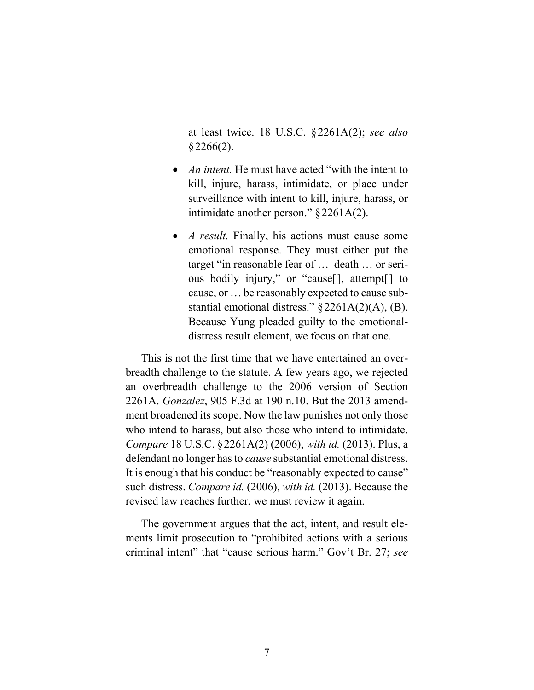at least twice. 18 U.S.C. §2261A(2); *see also*   $§2266(2).$ 

- *An intent.* He must have acted "with the intent to kill, injure, harass, intimidate, or place under surveillance with intent to kill, injure, harass, or intimidate another person." §2261A(2).
- *A result.* Finally, his actions must cause some emotional response. They must either put the target "in reasonable fear of … death … or serious bodily injury," or "cause[], attempt[] to cause, or … be reasonably expected to cause substantial emotional distress." §2261A(2)(A), (B). Because Yung pleaded guilty to the emotionaldistress result element, we focus on that one.

This is not the first time that we have entertained an overbreadth challenge to the statute. A few years ago, we rejected an overbreadth challenge to the 2006 version of Section 2261A. *Gonzalez*, 905 F.3d at 190 n.10. But the 2013 amendment broadened its scope. Now the law punishes not only those who intend to harass, but also those who intend to intimidate. *Compare* 18 U.S.C. §2261A(2) (2006), *with id.* (2013). Plus, a defendant no longer has to *cause* substantial emotional distress. It is enough that his conduct be "reasonably expected to cause" such distress. *Compare id.* (2006), *with id.* (2013). Because the revised law reaches further, we must review it again.

The government argues that the act, intent, and result elements limit prosecution to "prohibited actions with a serious criminal intent" that "cause serious harm." Gov't Br. 27; *see*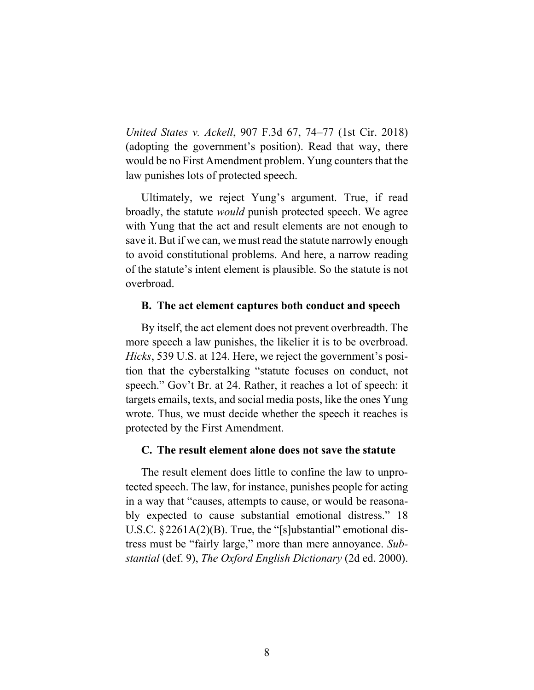*United States v. Ackell*, 907 F.3d 67, 74–77 (1st Cir. 2018) (adopting the government's position). Read that way, there would be no First Amendment problem. Yung counters that the law punishes lots of protected speech.

Ultimately, we reject Yung's argument. True, if read broadly, the statute *would* punish protected speech. We agree with Yung that the act and result elements are not enough to save it. But if we can, we must read the statute narrowly enough to avoid constitutional problems. And here, a narrow reading of the statute's intent element is plausible. So the statute is not overbroad.

### **B. The act element captures both conduct and speech**

By itself, the act element does not prevent overbreadth. The more speech a law punishes, the likelier it is to be overbroad. *Hicks*, 539 U.S. at 124. Here, we reject the government's position that the cyberstalking "statute focuses on conduct, not speech." Gov't Br. at 24. Rather, it reaches a lot of speech: it targets emails, texts, and social media posts, like the ones Yung wrote. Thus, we must decide whether the speech it reaches is protected by the First Amendment.

## **C. The result element alone does not save the statute**

The result element does little to confine the law to unprotected speech. The law, for instance, punishes people for acting in a way that "causes, attempts to cause, or would be reasonably expected to cause substantial emotional distress." 18 U.S.C. §2261A(2)(B). True, the "[s]ubstantial" emotional distress must be "fairly large," more than mere annoyance. *Substantial* (def. 9), *The Oxford English Dictionary* (2d ed. 2000).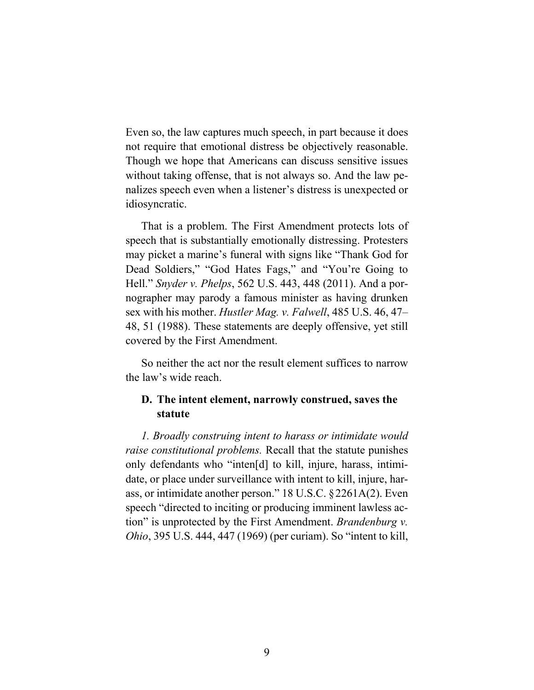Even so, the law captures much speech, in part because it does not require that emotional distress be objectively reasonable. Though we hope that Americans can discuss sensitive issues without taking offense, that is not always so. And the law penalizes speech even when a listener's distress is unexpected or idiosyncratic.

That is a problem. The First Amendment protects lots of speech that is substantially emotionally distressing. Protesters may picket a marine's funeral with signs like "Thank God for Dead Soldiers," "God Hates Fags," and "You're Going to Hell." *Snyder v. Phelps*, 562 U.S. 443, 448 (2011). And a pornographer may parody a famous minister as having drunken sex with his mother. *Hustler Mag. v. Falwell*, 485 U.S. 46, 47– 48, 51 (1988). These statements are deeply offensive, yet still covered by the First Amendment.

So neither the act nor the result element suffices to narrow the law's wide reach.

# **D. The intent element, narrowly construed, saves the statute**

*1. Broadly construing intent to harass or intimidate would raise constitutional problems.* Recall that the statute punishes only defendants who "inten[d] to kill, injure, harass, intimidate, or place under surveillance with intent to kill, injure, harass, or intimidate another person." 18 U.S.C. §2261A(2). Even speech "directed to inciting or producing imminent lawless action" is unprotected by the First Amendment. *Brandenburg v. Ohio*, 395 U.S. 444, 447 (1969) (per curiam). So "intent to kill,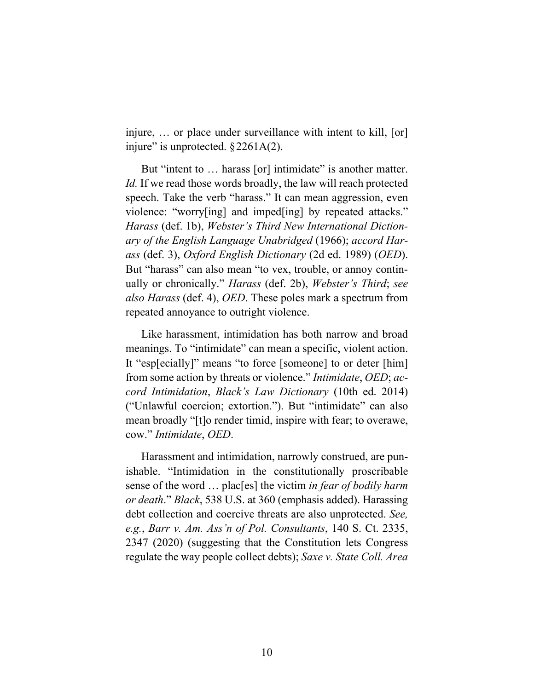injure, … or place under surveillance with intent to kill, [or] injure" is unprotected.  $\S 2261A(2)$ .

But "intent to ... harass [or] intimidate" is another matter. Id. If we read those words broadly, the law will reach protected speech. Take the verb "harass." It can mean aggression, even violence: "worry[ing] and imped[ing] by repeated attacks." *Harass* (def. 1b), *Webster's Third New International Dictionary of the English Language Unabridged* (1966); *accord Harass* (def. 3), *Oxford English Dictionary* (2d ed. 1989) (*OED*). But "harass" can also mean "to vex, trouble, or annoy continually or chronically." *Harass* (def. 2b), *Webster's Third*; *see also Harass* (def. 4), *OED*. These poles mark a spectrum from repeated annoyance to outright violence.

Like harassment, intimidation has both narrow and broad meanings. To "intimidate" can mean a specific, violent action. It "esp[ecially]" means "to force [someone] to or deter [him] from some action by threats or violence." *Intimidate*, *OED*; *accord Intimidation*, *Black's Law Dictionary* (10th ed. 2014) ("Unlawful coercion; extortion."). But "intimidate" can also mean broadly "[t]o render timid, inspire with fear; to overawe, cow." *Intimidate*, *OED*.

Harassment and intimidation, narrowly construed, are punishable. "Intimidation in the constitutionally proscribable sense of the word … plac[es] the victim *in fear of bodily harm or death*." *Black*, 538 U.S. at 360 (emphasis added). Harassing debt collection and coercive threats are also unprotected. *See, e.g.*, *Barr v. Am. Ass'n of Pol. Consultants*, 140 S. Ct. 2335, 2347 (2020) (suggesting that the Constitution lets Congress regulate the way people collect debts); *Saxe v. State Coll. Area*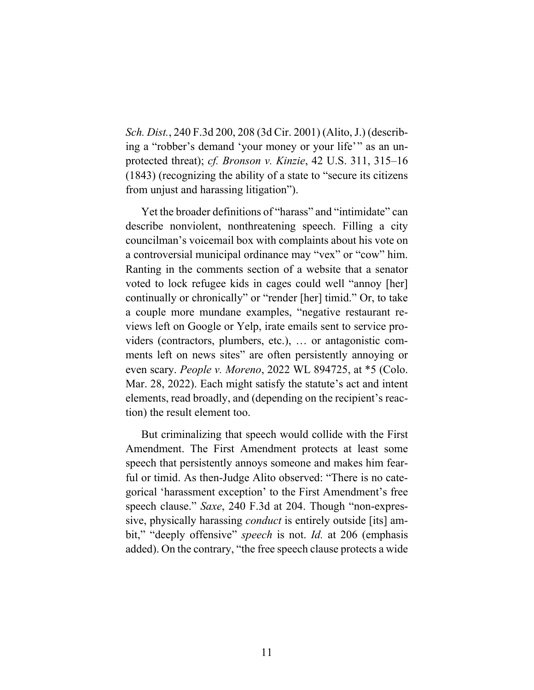*Sch. Dist.*, 240 F.3d 200, 208 (3d Cir. 2001) (Alito, J.) (describing a "robber's demand 'your money or your life'" as an unprotected threat); *cf. Bronson v. Kinzie*, 42 U.S. 311, 315–16 (1843) (recognizing the ability of a state to "secure its citizens from unjust and harassing litigation").

Yet the broader definitions of "harass" and "intimidate" can describe nonviolent, nonthreatening speech. Filling a city councilman's voicemail box with complaints about his vote on a controversial municipal ordinance may "vex" or "cow" him. Ranting in the comments section of a website that a senator voted to lock refugee kids in cages could well "annoy [her] continually or chronically" or "render [her] timid." Or, to take a couple more mundane examples, "negative restaurant reviews left on Google or Yelp, irate emails sent to service providers (contractors, plumbers, etc.), … or antagonistic comments left on news sites" are often persistently annoying or even scary. *People v. Moreno*, 2022 WL 894725, at \*5 (Colo. Mar. 28, 2022). Each might satisfy the statute's act and intent elements, read broadly, and (depending on the recipient's reaction) the result element too.

But criminalizing that speech would collide with the First Amendment. The First Amendment protects at least some speech that persistently annoys someone and makes him fearful or timid. As then-Judge Alito observed: "There is no categorical 'harassment exception' to the First Amendment's free speech clause." *Saxe*, 240 F.3d at 204. Though "non-expressive, physically harassing *conduct* is entirely outside [its] ambit," "deeply offensive" *speech* is not. *Id.* at 206 (emphasis added). On the contrary, "the free speech clause protects a wide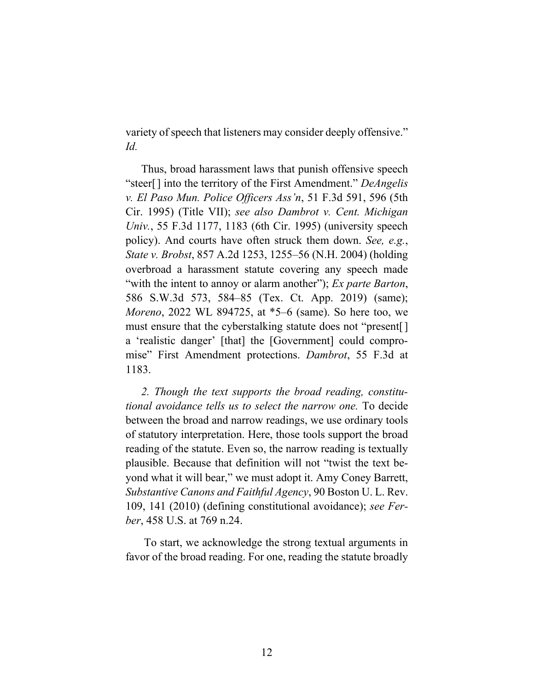variety of speech that listeners may consider deeply offensive." *Id.*

Thus, broad harassment laws that punish offensive speech "steer[] into the territory of the First Amendment." *DeAngelis v. El Paso Mun. Police Officers Ass'n*, 51 F.3d 591, 596 (5th Cir. 1995) (Title VII); *see also Dambrot v. Cent. Michigan Univ.*, 55 F.3d 1177, 1183 (6th Cir. 1995) (university speech policy). And courts have often struck them down. *See, e.g.*, *State v. Brobst*, 857 A.2d 1253, 1255–56 (N.H. 2004) (holding overbroad a harassment statute covering any speech made "with the intent to annoy or alarm another"); *Ex parte Barton*, 586 S.W.3d 573, 584–85 (Tex. Ct. App. 2019) (same); *Moreno*, 2022 WL 894725, at \*5–6 (same). So here too, we must ensure that the cyberstalking statute does not "present[] a 'realistic danger' [that] the [Government] could compromise" First Amendment protections. *Dambrot*, 55 F.3d at 1183.

*2. Though the text supports the broad reading, constitutional avoidance tells us to select the narrow one.* To decide between the broad and narrow readings, we use ordinary tools of statutory interpretation. Here, those tools support the broad reading of the statute. Even so, the narrow reading is textually plausible. Because that definition will not "twist the text beyond what it will bear," we must adopt it. Amy Coney Barrett, *Substantive Canons and Faithful Agency*, 90 Boston U. L. Rev. 109, 141 (2010) (defining constitutional avoidance); *see Ferber*, 458 U.S. at 769 n.24.

To start, we acknowledge the strong textual arguments in favor of the broad reading. For one, reading the statute broadly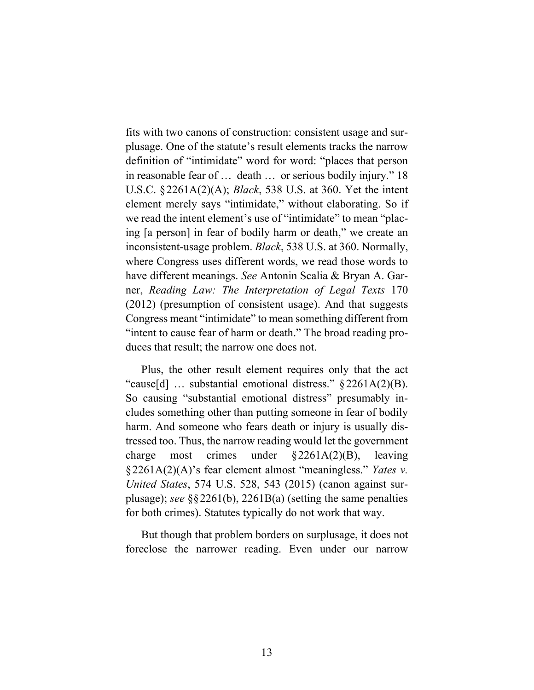fits with two canons of construction: consistent usage and surplusage. One of the statute's result elements tracks the narrow definition of "intimidate" word for word: "places that person in reasonable fear of … death … or serious bodily injury." 18 U.S.C. §2261A(2)(A); *Black*, 538 U.S. at 360. Yet the intent element merely says "intimidate," without elaborating. So if we read the intent element's use of "intimidate" to mean "placing [a person] in fear of bodily harm or death," we create an inconsistent-usage problem. *Black*, 538 U.S. at 360. Normally, where Congress uses different words, we read those words to have different meanings. *See* Antonin Scalia & Bryan A. Garner, *Reading Law: The Interpretation of Legal Texts* 170 (2012) (presumption of consistent usage). And that suggests Congress meant "intimidate" to mean something different from "intent to cause fear of harm or death." The broad reading produces that result; the narrow one does not.

Plus, the other result element requires only that the act "cause[d] … substantial emotional distress." §2261A(2)(B). So causing "substantial emotional distress" presumably includes something other than putting someone in fear of bodily harm. And someone who fears death or injury is usually distressed too. Thus, the narrow reading would let the government charge most crimes under §2261A(2)(B), leaving §2261A(2)(A)'s fear element almost "meaningless." *Yates v. United States*, 574 U.S. 528, 543 (2015) (canon against surplusage); *see* §§2261(b), 2261B(a) (setting the same penalties for both crimes). Statutes typically do not work that way.

But though that problem borders on surplusage, it does not foreclose the narrower reading. Even under our narrow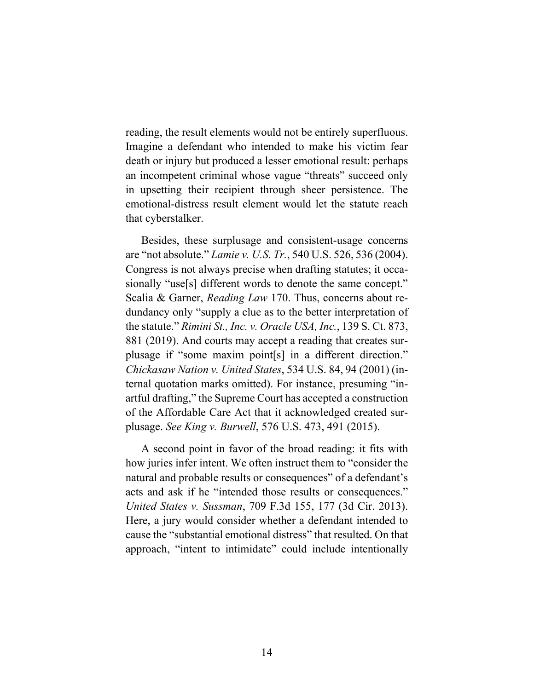reading, the result elements would not be entirely superfluous. Imagine a defendant who intended to make his victim fear death or injury but produced a lesser emotional result: perhaps an incompetent criminal whose vague "threats" succeed only in upsetting their recipient through sheer persistence. The emotional-distress result element would let the statute reach that cyberstalker.

Besides, these surplusage and consistent-usage concerns are "not absolute." *Lamie v. U.S. Tr.*, 540 U.S. 526, 536 (2004). Congress is not always precise when drafting statutes; it occasionally "use[s] different words to denote the same concept." Scalia & Garner, *Reading Law* 170. Thus, concerns about redundancy only "supply a clue as to the better interpretation of the statute." *Rimini St., Inc. v. Oracle USA, Inc.*, 139 S. Ct. 873, 881 (2019). And courts may accept a reading that creates surplusage if "some maxim point[s] in a different direction." *Chickasaw Nation v. United States*, 534 U.S. 84, 94 (2001) (internal quotation marks omitted). For instance, presuming "inartful drafting," the Supreme Court has accepted a construction of the Affordable Care Act that it acknowledged created surplusage. *See King v. Burwell*, 576 U.S. 473, 491 (2015).

A second point in favor of the broad reading: it fits with how juries infer intent. We often instruct them to "consider the natural and probable results or consequences" of a defendant's acts and ask if he "intended those results or consequences." *United States v. Sussman*, 709 F.3d 155, 177 (3d Cir. 2013). Here, a jury would consider whether a defendant intended to cause the "substantial emotional distress" that resulted. On that approach, "intent to intimidate" could include intentionally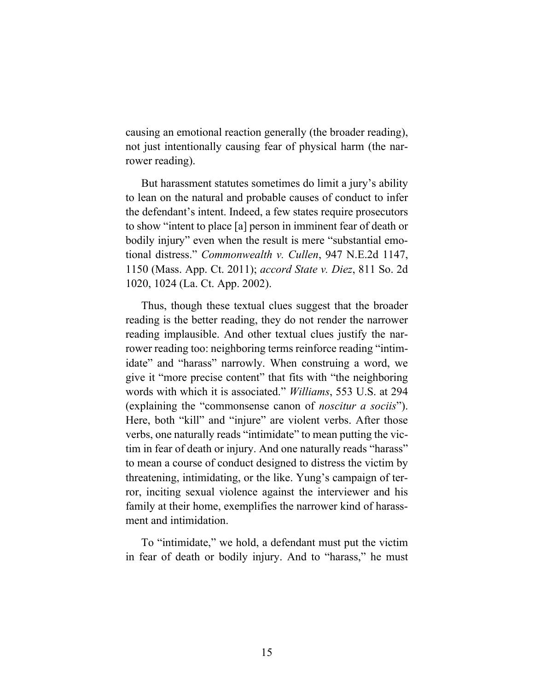causing an emotional reaction generally (the broader reading), not just intentionally causing fear of physical harm (the narrower reading).

But harassment statutes sometimes do limit a jury's ability to lean on the natural and probable causes of conduct to infer the defendant's intent. Indeed, a few states require prosecutors to show "intent to place [a] person in imminent fear of death or bodily injury" even when the result is mere "substantial emotional distress." *Commonwealth v. Cullen*, 947 N.E.2d 1147, 1150 (Mass. App. Ct. 2011); *accord State v. Diez*, 811 So. 2d 1020, 1024 (La. Ct. App. 2002).

Thus, though these textual clues suggest that the broader reading is the better reading, they do not render the narrower reading implausible. And other textual clues justify the narrower reading too: neighboring terms reinforce reading "intimidate" and "harass" narrowly. When construing a word, we give it "more precise content" that fits with "the neighboring words with which it is associated." *Williams*, 553 U.S. at 294 (explaining the "commonsense canon of *noscitur a sociis*"). Here, both "kill" and "injure" are violent verbs. After those verbs, one naturally reads "intimidate" to mean putting the victim in fear of death or injury. And one naturally reads "harass" to mean a course of conduct designed to distress the victim by threatening, intimidating, or the like. Yung's campaign of terror, inciting sexual violence against the interviewer and his family at their home, exemplifies the narrower kind of harassment and intimidation.

To "intimidate," we hold, a defendant must put the victim in fear of death or bodily injury. And to "harass," he must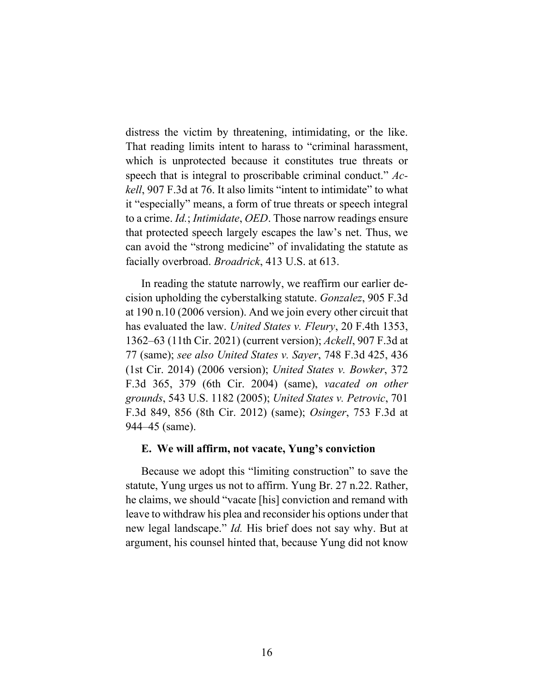distress the victim by threatening, intimidating, or the like. That reading limits intent to harass to "criminal harassment, which is unprotected because it constitutes true threats or speech that is integral to proscribable criminal conduct." *Ackell*, 907 F.3d at 76. It also limits "intent to intimidate" to what it "especially" means, a form of true threats or speech integral to a crime. *Id.*; *Intimidate*, *OED*. Those narrow readings ensure that protected speech largely escapes the law's net. Thus, we can avoid the "strong medicine" of invalidating the statute as facially overbroad. *Broadrick*, 413 U.S. at 613.

In reading the statute narrowly, we reaffirm our earlier decision upholding the cyberstalking statute. *Gonzalez*, 905 F.3d at 190 n.10 (2006 version). And we join every other circuit that has evaluated the law. *United States v. Fleury*, 20 F.4th 1353, 1362–63 (11th Cir. 2021) (current version); *Ackell*, 907 F.3d at 77 (same); *see also United States v. Sayer*, 748 F.3d 425, 436 (1st Cir. 2014) (2006 version); *United States v. Bowker*, 372 F.3d 365, 379 (6th Cir. 2004) (same), *vacated on other grounds*, 543 U.S. 1182 (2005); *United States v. Petrovic*, 701 F.3d 849, 856 (8th Cir. 2012) (same); *Osinger*, 753 F.3d at 944–45 (same).

### **E. We will affirm, not vacate, Yung's conviction**

Because we adopt this "limiting construction" to save the statute, Yung urges us not to affirm. Yung Br. 27 n.22. Rather, he claims, we should "vacate [his] conviction and remand with leave to withdraw his plea and reconsider his options under that new legal landscape." *Id.* His brief does not say why. But at argument, his counsel hinted that, because Yung did not know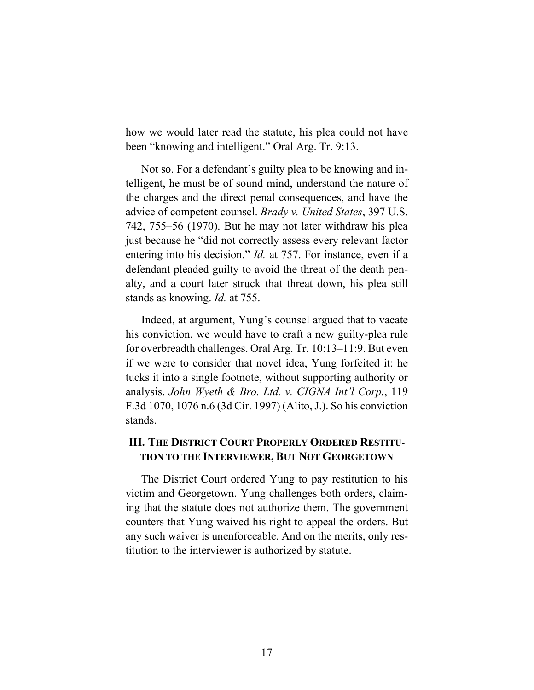how we would later read the statute, his plea could not have been "knowing and intelligent." Oral Arg. Tr. 9:13.

Not so. For a defendant's guilty plea to be knowing and intelligent, he must be of sound mind, understand the nature of the charges and the direct penal consequences, and have the advice of competent counsel. *Brady v. United States*, 397 U.S. 742, 755–56 (1970). But he may not later withdraw his plea just because he "did not correctly assess every relevant factor entering into his decision." *Id.* at 757. For instance, even if a defendant pleaded guilty to avoid the threat of the death penalty, and a court later struck that threat down, his plea still stands as knowing. *Id.* at 755.

Indeed, at argument, Yung's counsel argued that to vacate his conviction, we would have to craft a new guilty-plea rule for overbreadth challenges. Oral Arg. Tr. 10:13–11:9. But even if we were to consider that novel idea, Yung forfeited it: he tucks it into a single footnote, without supporting authority or analysis. *John Wyeth & Bro. Ltd. v. CIGNA Int'l Corp.*, 119 F.3d 1070, 1076 n.6 (3d Cir. 1997) (Alito, J.). So his conviction stands.

# **III. THE DISTRICT COURT PROPERLY ORDERED RESTITU-TION TO THE INTERVIEWER, BUT NOT GEORGETOWN**

The District Court ordered Yung to pay restitution to his victim and Georgetown. Yung challenges both orders, claiming that the statute does not authorize them. The government counters that Yung waived his right to appeal the orders. But any such waiver is unenforceable. And on the merits, only restitution to the interviewer is authorized by statute.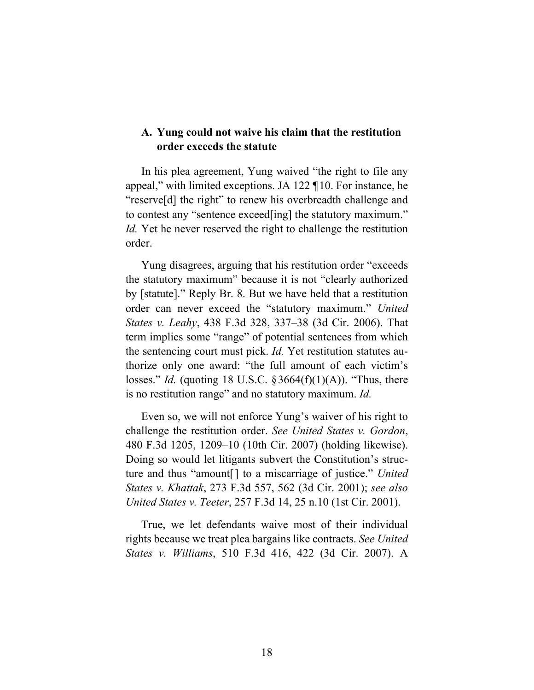## **A. Yung could not waive his claim that the restitution order exceeds the statute**

In his plea agreement, Yung waived "the right to file any appeal," with limited exceptions. JA 122 ¶10. For instance, he "reserve[d] the right" to renew his overbreadth challenge and to contest any "sentence exceed[ing] the statutory maximum." *Id.* Yet he never reserved the right to challenge the restitution order.

Yung disagrees, arguing that his restitution order "exceeds the statutory maximum" because it is not "clearly authorized by [statute]." Reply Br. 8. But we have held that a restitution order can never exceed the "statutory maximum." *United States v. Leahy*, 438 F.3d 328, 337–38 (3d Cir. 2006). That term implies some "range" of potential sentences from which the sentencing court must pick. *Id.* Yet restitution statutes authorize only one award: "the full amount of each victim's losses." *Id.* (quoting 18 U.S.C. §3664(f)(1)(A)). "Thus, there is no restitution range" and no statutory maximum. *Id.*

Even so, we will not enforce Yung's waiver of his right to challenge the restitution order. *See United States v. Gordon*, 480 F.3d 1205, 1209–10 (10th Cir. 2007) (holding likewise). Doing so would let litigants subvert the Constitution's structure and thus "amount[] to a miscarriage of justice." *United States v. Khattak*, 273 F.3d 557, 562 (3d Cir. 2001); *see also United States v. Teeter*, 257 F.3d 14, 25 n.10 (1st Cir. 2001).

True, we let defendants waive most of their individual rights because we treat plea bargains like contracts. *See United States v. Williams*, 510 F.3d 416, 422 (3d Cir. 2007). A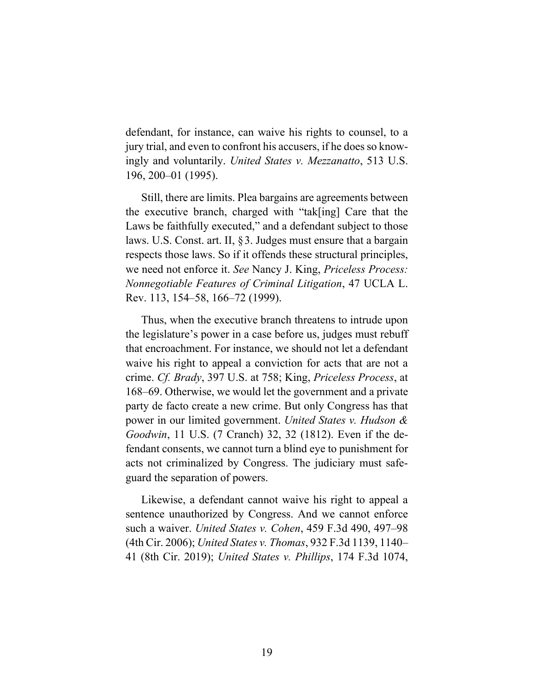defendant, for instance, can waive his rights to counsel, to a jury trial, and even to confront his accusers, if he does so knowingly and voluntarily. *United States v. Mezzanatto*, 513 U.S. 196, 200–01 (1995).

Still, there are limits. Plea bargains are agreements between the executive branch, charged with "tak[ing] Care that the Laws be faithfully executed," and a defendant subject to those laws. U.S. Const. art. II, §3. Judges must ensure that a bargain respects those laws. So if it offends these structural principles, we need not enforce it. *See* Nancy J. King, *Priceless Process: Nonnegotiable Features of Criminal Litigation*, 47 UCLA L. Rev. 113, 154–58, 166–72 (1999).

Thus, when the executive branch threatens to intrude upon the legislature's power in a case before us, judges must rebuff that encroachment. For instance, we should not let a defendant waive his right to appeal a conviction for acts that are not a crime. *Cf. Brady*, 397 U.S. at 758; King, *Priceless Process*, at 168–69. Otherwise, we would let the government and a private party de facto create a new crime. But only Congress has that power in our limited government. *United States v. Hudson & Goodwin*, 11 U.S. (7 Cranch) 32, 32 (1812). Even if the defendant consents, we cannot turn a blind eye to punishment for acts not criminalized by Congress. The judiciary must safeguard the separation of powers.

Likewise, a defendant cannot waive his right to appeal a sentence unauthorized by Congress. And we cannot enforce such a waiver. *United States v. Cohen*, 459 F.3d 490, 497–98 (4th Cir. 2006); *United States v. Thomas*, 932 F.3d 1139, 1140– 41 (8th Cir. 2019); *United States v. Phillips*, 174 F.3d 1074,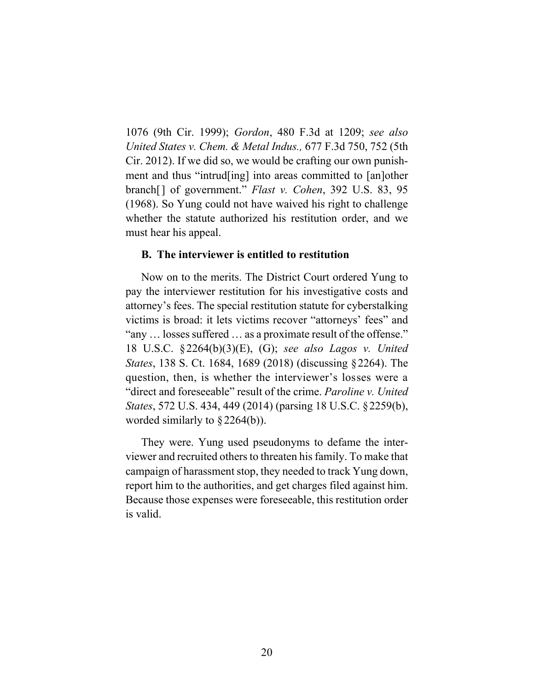1076 (9th Cir. 1999); *Gordon*, 480 F.3d at 1209; *see also United States v. Chem. & Metal Indus.,* 677 F.3d 750, 752 (5th Cir. 2012). If we did so, we would be crafting our own punishment and thus "intrud[ing] into areas committed to [an]other branch[] of government." *Flast v. Cohen*, 392 U.S. 83, 95 (1968). So Yung could not have waived his right to challenge whether the statute authorized his restitution order, and we must hear his appeal.

### **B. The interviewer is entitled to restitution**

Now on to the merits. The District Court ordered Yung to pay the interviewer restitution for his investigative costs and attorney's fees. The special restitution statute for cyberstalking victims is broad: it lets victims recover "attorneys' fees" and "any … losses suffered … as a proximate result of the offense." 18 U.S.C. §2264(b)(3)(E), (G); *see also Lagos v. United States*, 138 S. Ct. 1684, 1689 (2018) (discussing §2264). The question, then, is whether the interviewer's losses were a "direct and foreseeable" result of the crime. *Paroline v. United States*, 572 U.S. 434, 449 (2014) (parsing 18 U.S.C. §2259(b), worded similarly to §2264(b)).

They were. Yung used pseudonyms to defame the interviewer and recruited others to threaten his family. To make that campaign of harassment stop, they needed to track Yung down, report him to the authorities, and get charges filed against him. Because those expenses were foreseeable, this restitution order is valid.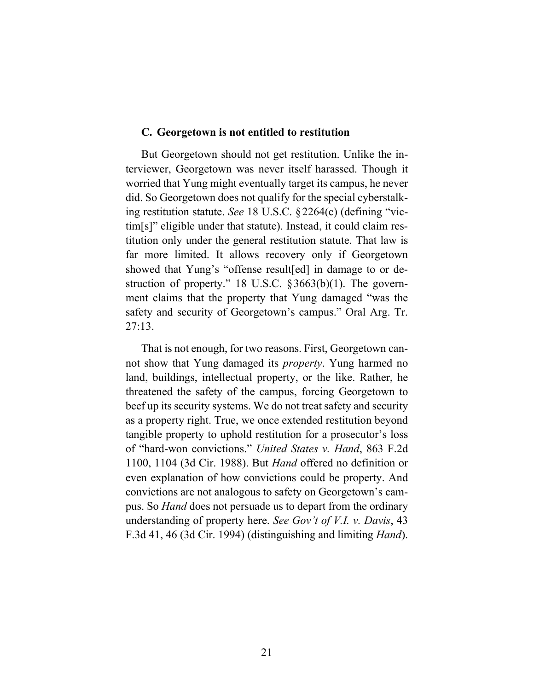### **C. Georgetown is not entitled to restitution**

But Georgetown should not get restitution. Unlike the interviewer, Georgetown was never itself harassed. Though it worried that Yung might eventually target its campus, he never did. So Georgetown does not qualify for the special cyberstalking restitution statute. *See* 18 U.S.C. §2264(c) (defining "victim[s]" eligible under that statute). Instead, it could claim restitution only under the general restitution statute. That law is far more limited. It allows recovery only if Georgetown showed that Yung's "offense result[ed] in damage to or destruction of property." 18 U.S.C. §3663(b)(1). The government claims that the property that Yung damaged "was the safety and security of Georgetown's campus." Oral Arg. Tr. 27:13.

That is not enough, for two reasons. First, Georgetown cannot show that Yung damaged its *property*. Yung harmed no land, buildings, intellectual property, or the like. Rather, he threatened the safety of the campus, forcing Georgetown to beef up its security systems. We do not treat safety and security as a property right. True, we once extended restitution beyond tangible property to uphold restitution for a prosecutor's loss of "hard-won convictions." *United States v. Hand*, 863 F.2d 1100, 1104 (3d Cir. 1988). But *Hand* offered no definition or even explanation of how convictions could be property. And convictions are not analogous to safety on Georgetown's campus. So *Hand* does not persuade us to depart from the ordinary understanding of property here. *See Gov't of V.I. v. Davis*, 43 F.3d 41, 46 (3d Cir. 1994) (distinguishing and limiting *Hand*).